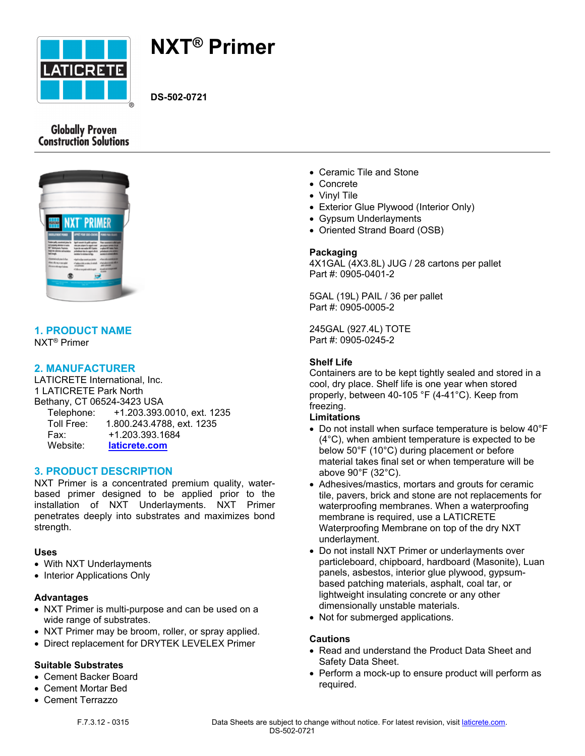

# **NXT® Primer**

**DS-502-0721**

# **Globally Proven Construction Solutions**



# **1. PRODUCT NAME**

NXT® Primer

# **2. MANUFACTURER**

LATICRETE International, Inc. 1 LATICRETE Park North Bethany, CT 06524-3423 USA Telephone: +1.203.393.0010, ext. 1235 Toll Free: 1.800.243.4788, ext. 1235 Fax: +1.203.393.1684 Website: **[laticrete.com](https://laticrete.com/)**

#### **3. PRODUCT DESCRIPTION**

NXT Primer is a concentrated premium quality, waterbased primer designed to be applied prior to the installation of NXT Underlayments. NXT Primer penetrates deeply into substrates and maximizes bond strength.

#### **Uses**

- With NXT Underlayments
- Interior Applications Only

#### **Advantages**

- NXT Primer is multi-purpose and can be used on a wide range of substrates.
- NXT Primer may be broom, roller, or spray applied.
- Direct replacement for DRYTEK LEVELEX Primer

#### **Suitable Substrates**

- Cement Backer Board
- Cement Mortar Bed
- Cement Terrazzo
- Ceramic Tile and Stone
- Concrete
- Vinvl Tile
- Exterior Glue Plywood (Interior Only)
- Gypsum Underlayments
- Oriented Strand Board (OSB)

#### **Packaging**

4X1GAL (4X3.8L) JUG / 28 cartons per pallet Part #: 0905-0401-2

5GAL (19L) PAIL / 36 per pallet Part #: 0905-0005-2

245GAL (927.4L) TOTE Part #: 0905-0245-2

## **Shelf Life**

Containers are to be kept tightly sealed and stored in a cool, dry place. Shelf life is one year when stored properly, between 40-105 °F (4-41°C). Keep from freezing.

#### **Limitations**

- Do not install when surface temperature is below 40°F (4°C), when ambient temperature is expected to be below 50°F (10°C) during placement or before material takes final set or when temperature will be above 90°F (32°C).
- Adhesives/mastics, mortars and grouts for ceramic tile, pavers, brick and stone are not replacements for waterproofing membranes. When a waterproofing membrane is required, use a LATICRETE Waterproofing Membrane on top of the dry NXT underlayment.
- Do not install NXT Primer or underlayments over particleboard, chipboard, hardboard (Masonite), Luan panels, asbestos, interior glue plywood, gypsumbased patching materials, asphalt, coal tar, or lightweight insulating concrete or any other dimensionally unstable materials.
- Not for submerged applications.

#### **Cautions**

- Read and understand the Product Data Sheet and Safety Data Sheet.
- Perform a mock-up to ensure product will perform as required.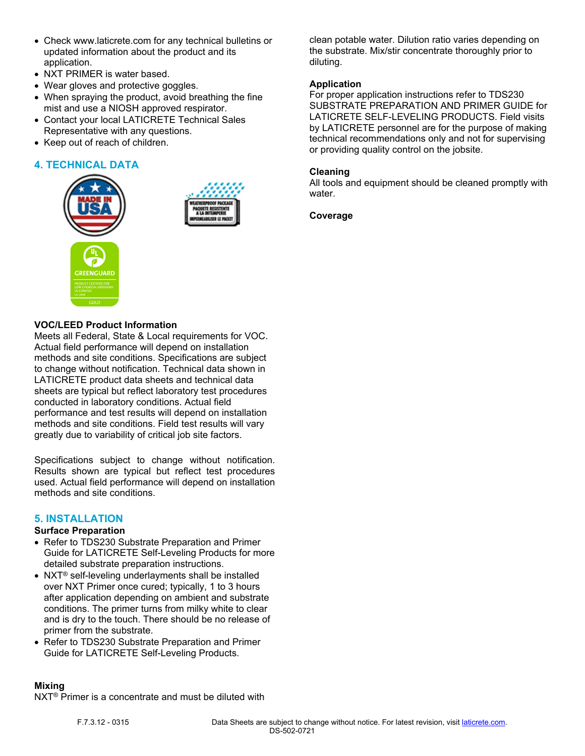- Check www.laticrete.com for any technical bulletins or updated information about the product and its application.
- NXT PRIMER is water based.
- Wear gloves and protective goggles.
- When spraying the product, avoid breathing the fine mist and use a NIOSH approved respirator.
- Contact your local LATICRETE Technical Sales Representative with any questions.
- Keep out of reach of children.

# **4. TECHNICAL DATA**





**VOC/LEED Product Information**

Meets all Federal, State & Local requirements for VOC. Actual field performance will depend on installation methods and site conditions. Specifications are subject to change without notification. Technical data shown in LATICRETE product data sheets and technical data sheets are typical but reflect laboratory test procedures conducted in laboratory conditions. Actual field performance and test results will depend on installation methods and site conditions. Field test results will vary greatly due to variability of critical job site factors.

Specifications subject to change without notification. Results shown are typical but reflect test procedures used. Actual field performance will depend on installation methods and site conditions.

#### **5. INSTALLATION**

#### **Surface Preparation**

- Refer to TDS230 Substrate Preparation and Primer Guide for LATICRETE Self-Leveling Products for more detailed substrate preparation instructions.
- NXT<sup>®</sup> self-leveling underlayments shall be installed over NXT Primer once cured; typically, 1 to 3 hours after application depending on ambient and substrate conditions. The primer turns from milky white to clear and is dry to the touch. There should be no release of primer from the substrate.
- Refer to TDS230 Substrate Preparation and Primer Guide for LATICRETE Self-Leveling Products.

clean potable water. Dilution ratio varies depending on the substrate. Mix/stir concentrate thoroughly prior to diluting.

#### **Application**

For proper application instructions refer to TDS230 SUBSTRATE PREPARATION AND PRIMER GUIDE for LATICRETE SELF-LEVELING PRODUCTS. Field visits by LATICRETE personnel are for the purpose of making technical recommendations only and not for supervising or providing quality control on the jobsite.

#### **Cleaning**

All tools and equipment should be cleaned promptly with water.

**Coverage**

#### **Mixing**

NXT® Primer is a concentrate and must be diluted with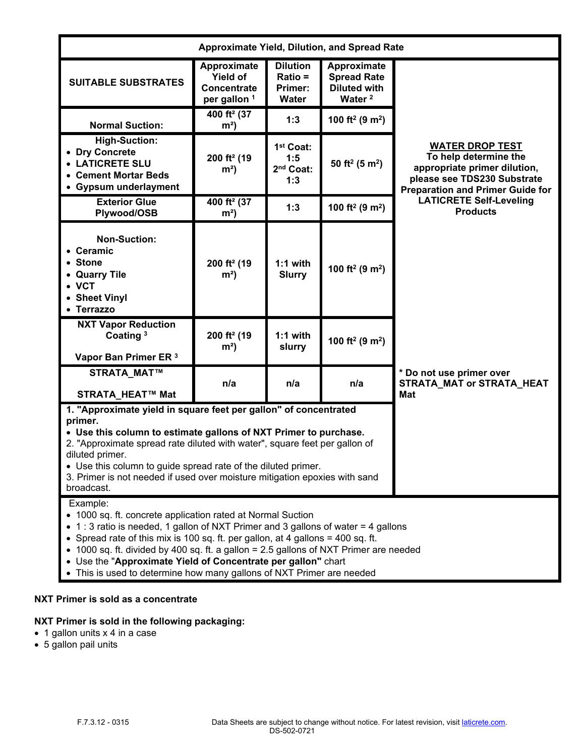| <b>Approximate Yield, Dilution, and Spread Rate</b>                                                                                                                                                                                                                                                                                                                                                                                                                            |                                                                                 |                                                              |                                                                                |                                                                                                                                                           |
|--------------------------------------------------------------------------------------------------------------------------------------------------------------------------------------------------------------------------------------------------------------------------------------------------------------------------------------------------------------------------------------------------------------------------------------------------------------------------------|---------------------------------------------------------------------------------|--------------------------------------------------------------|--------------------------------------------------------------------------------|-----------------------------------------------------------------------------------------------------------------------------------------------------------|
| <b>SUITABLE SUBSTRATES</b>                                                                                                                                                                                                                                                                                                                                                                                                                                                     | Approximate<br><b>Yield of</b><br><b>Concentrate</b><br>per gallon <sup>1</sup> | <b>Dilution</b><br>$Ratio =$<br>Primer:<br>Water             | Approximate<br><b>Spread Rate</b><br><b>Diluted with</b><br>Water <sup>2</sup> |                                                                                                                                                           |
| <b>Normal Suction:</b>                                                                                                                                                                                                                                                                                                                                                                                                                                                         | 400 ft <sup>2</sup> (37<br>m <sup>2</sup>                                       | 1:3                                                          | 100 ft <sup>2</sup> (9 m <sup>2</sup> )                                        |                                                                                                                                                           |
| <b>High-Suction:</b><br>• Dry Concrete<br>• LATICRETE SLU<br>• Cement Mortar Beds<br>• Gypsum underlayment                                                                                                                                                                                                                                                                                                                                                                     | 200 ft <sup>2</sup> (19<br>m <sup>2</sup>                                       | 1 <sup>st</sup> Coat:<br>1:5<br>2 <sup>nd</sup> Coat:<br>1:3 | 50 ft <sup>2</sup> (5 m <sup>2</sup> )                                         | <b>WATER DROP TEST</b><br>To help determine the<br>appropriate primer dilution,<br>please see TDS230 Substrate<br><b>Preparation and Primer Guide for</b> |
| <b>Exterior Glue</b><br>Plywood/OSB                                                                                                                                                                                                                                                                                                                                                                                                                                            | 400 ft <sup>2</sup> (37<br>m <sup>2</sup>                                       | 1:3                                                          | 100 ft <sup>2</sup> (9 m <sup>2</sup> )                                        | <b>LATICRETE Self-Leveling</b><br><b>Products</b>                                                                                                         |
| <b>Non-Suction:</b><br>• Ceramic<br>• Stone<br>• Quarry Tile<br>$\bullet$ VCT<br>• Sheet Vinyl<br>• Terrazzo                                                                                                                                                                                                                                                                                                                                                                   | 200 ft <sup>2</sup> (19<br>m <sup>2</sup>                                       | $1:1$ with<br><b>Slurry</b>                                  | 100 ft <sup>2</sup> (9 m <sup>2</sup> )                                        |                                                                                                                                                           |
| <b>NXT Vapor Reduction</b><br>Coating <sup>3</sup><br>Vapor Ban Primer ER 3                                                                                                                                                                                                                                                                                                                                                                                                    | 200 ft <sup>2</sup> (19<br>m <sup>2</sup>                                       | $1:1$ with<br>slurry                                         | 100 ft <sup>2</sup> (9 m <sup>2</sup> )                                        |                                                                                                                                                           |
| <b>STRATA_MAT™</b><br>STRATA_HEAT™ Mat                                                                                                                                                                                                                                                                                                                                                                                                                                         | n/a                                                                             | n/a                                                          | n/a                                                                            | * Do not use primer over<br><b>STRATA_MAT or STRATA_HEAT</b><br><b>Mat</b>                                                                                |
| 1. "Approximate yield in square feet per gallon" of concentrated<br>primer.<br>• Use this column to estimate gallons of NXT Primer to purchase.<br>2. "Approximate spread rate diluted with water", square feet per gallon of<br>diluted primer.<br>• Use this column to guide spread rate of the diluted primer.<br>3. Primer is not needed if used over moisture mitigation epoxies with sand<br>broadcast.                                                                  |                                                                                 |                                                              |                                                                                |                                                                                                                                                           |
| Example:<br>• 1000 sq. ft. concrete application rated at Normal Suction<br>1: 3 ratio is needed, 1 gallon of NXT Primer and 3 gallons of water = 4 gallons<br>• Spread rate of this mix is 100 sq. ft. per gallon, at 4 gallons = 400 sq. ft.<br>1000 sq. ft. divided by 400 sq. ft. a gallon = 2.5 gallons of NXT Primer are needed<br>• Use the "Approximate Yield of Concentrate per gallon" chart<br>• This is used to determine how many gallons of NXT Primer are needed |                                                                                 |                                                              |                                                                                |                                                                                                                                                           |

# **NXT Primer is sold as a concentrate**

# **NXT Primer is sold in the following packaging:**

- $\bullet$  1 gallon units x 4 in a case
- 5 gallon pail units